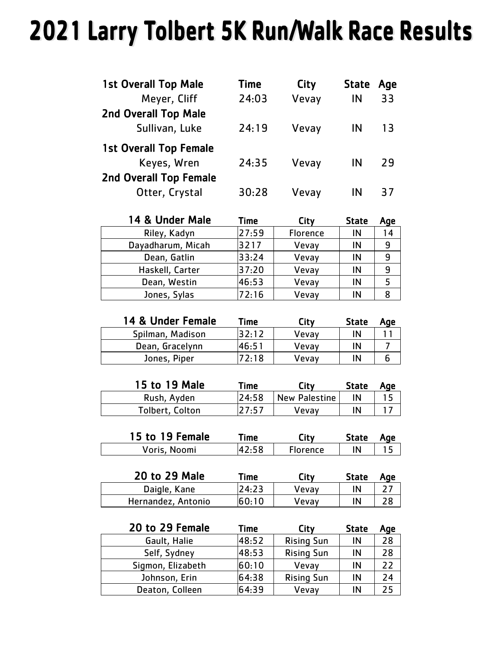## 2021 Larry Tolbert 5K Run/Walk Race Results

| <b>1st Overall Top Male</b>   | Time  | City  | <b>State</b> | Age |
|-------------------------------|-------|-------|--------------|-----|
| Meyer, Cliff                  | 24:03 | Vevay | IN           | 33  |
| <b>2nd Overall Top Male</b>   |       |       |              |     |
| Sullivan, Luke                | 24:19 | Vevay | IN           | 13  |
| <b>1st Overall Top Female</b> |       |       |              |     |
| Keyes, Wren                   | 24:35 | Vevay | IN           | 29  |
| <b>2nd Overall Top Female</b> |       |       |              |     |
| Otter, Crystal                | 30:28 | Vevay | ΙN           | 37  |

| 14 & Under Male   | <b>Time</b> | City     | <b>State</b> | Age |
|-------------------|-------------|----------|--------------|-----|
| Riley, Kadyn      | 27:59       | Florence | IN           | 14  |
| Dayadharum, Micah | 3217        | Vevay    | ΙN           | 9   |
| Dean, Gatlin      | 33:24       | Vevay    | ΙN           | 9   |
| Haskell, Carter   | 37:20       | Vevay    | ΙN           | 9   |
| Dean, Westin      | 46:53       | Vevay    | IN           |     |
| Jones, Sylas      | 72:16       | Vevay    | IN           | R   |

| 14 & Under Female | Time  | City  | <b>State</b> | Aqe |
|-------------------|-------|-------|--------------|-----|
| Spilman, Madison  | 32:12 | Vevay | ΙN           |     |
| Dean, Gracelynn   | 46:51 | Vevay | ΙN           |     |
| Jones, Piper      | 7.18  | Vevav | IN           |     |

| 15 to 19 Male   | Time. | City          | State | Age |
|-----------------|-------|---------------|-------|-----|
| Rush, Ayden     | 24:58 | New Palestine | ΙN    |     |
| Tolbert, Colton | 27:57 | Vevav         | IN    |     |

| 15 to 19 Female | <sup>r</sup> ime | Ξity            | <b>State</b> | Aqe |
|-----------------|------------------|-----------------|--------------|-----|
| Voris, Noomi    |                  | <b>Florence</b> | IN           |     |

| 20 to 29 Male      | ™e    | City  | <b>State</b> | Aqe |
|--------------------|-------|-------|--------------|-----|
| Daigle, Kane       | 24:23 | Vevav |              |     |
| Hernandez, Antonio | 60:10 | Vevav |              |     |

| 20 to 29 Female   | Time  | City              | <b>State</b> | Age |
|-------------------|-------|-------------------|--------------|-----|
| Gault, Halie      | 48:52 | <b>Rising Sun</b> | IN           | 28  |
| Self, Sydney      | 48:53 | <b>Rising Sun</b> | IN           | 28  |
| Sigmon, Elizabeth | 60:10 | Vevay             | IN           | 22  |
| Johnson, Erin     | 64:38 | <b>Rising Sun</b> | IN           | 24  |
| Deaton, Colleen   | 64:39 | Vevay             | IN           | 25  |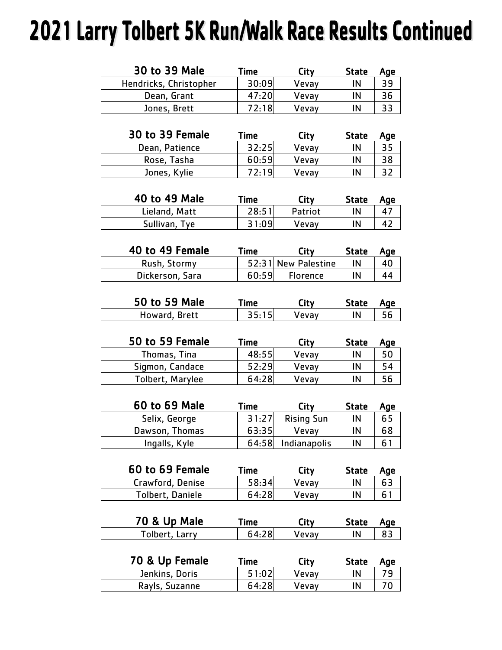## 2021 Larry Tolbert 5K Run/Walk Race Results Continued

| 30 to 39 Male          | Time  | City  | <b>State</b> | Age |
|------------------------|-------|-------|--------------|-----|
| Hendricks, Christopher | 30:09 | Vevav | IN           | 39  |
| Dean, Grant            | 47:20 | Vevay | IN           | 36  |
| Jones, Brett           | 72:18 | Vevay | IN           | 33  |

| 30 to 39 Female | Time  | City  | <b>State</b> | Age |
|-----------------|-------|-------|--------------|-----|
| Dean, Patience  | 32:25 | Vevav | IN           | 35  |
| Rose, Tasha     | 60:59 | Vevay | IN           | 38  |
| Jones, Kylie    | 72.19 | Vevav | IN           |     |

| 40 to 49 Male | Time  | City    | State | Age |
|---------------|-------|---------|-------|-----|
| Lieland, Matt | 28:51 | Patriot | IN    |     |
| Sullivan, Tye | 31:09 | Vevav   | IN    |     |

| 40 to 49 Female | Time  | City                | <b>State</b> | Age |
|-----------------|-------|---------------------|--------------|-----|
| Rush, Stormy    |       | 52:31 New Palestine | ΙN           | 40  |
| Dickerson, Sara | 60:59 | <b>Florence</b>     | IN           | 44  |

| 50 to 59 Male | ⊺ime ∶ | .itv  | State | Aae |
|---------------|--------|-------|-------|-----|
| Howard, Brett | 35:15  | Vevav | ΙN    |     |

| 50 to 59 Female  | Time  | City  | <b>State</b> | Age |
|------------------|-------|-------|--------------|-----|
| Thomas, Tina     | 48:55 | Vevay | IN           |     |
| Sigmon, Candace  | 52:29 | Vevay | IN           | 54  |
| Tolbert, Marylee | 64:28 | Vevav | IN           |     |

| 60 to 69 Male  | Citv<br>Time       |                   | <b>State</b> | Age |
|----------------|--------------------|-------------------|--------------|-----|
| Selix, George  | 31:27              | <b>Rising Sun</b> | IN           | 65  |
| Dawson, Thomas | 63:35              | Vevav             |              | 68  |
| Ingalls, Kyle  | 64:58 Indianapolis |                   | IN           | 6   |

| 60 to 69 Female  | Time  | City  | State | Age |
|------------------|-------|-------|-------|-----|
| Crawford, Denise | 58:34 | Vevav | IN    |     |
| Tolbert, Daniele | 64:28 | Vevav | IN    |     |

| 70 & Up Male   | ™e⊓   | City  | State | Aae |
|----------------|-------|-------|-------|-----|
| Tolbert, Larry | 64:28 | Vevav | IN    |     |

| 70 & Up Female | Time  | City  | <b>State</b> | Aae |
|----------------|-------|-------|--------------|-----|
| Jenkins, Doris | 51:02 | Vevav | IN           |     |
| Rayls, Suzanne | 64:28 | Vevav | IN           |     |